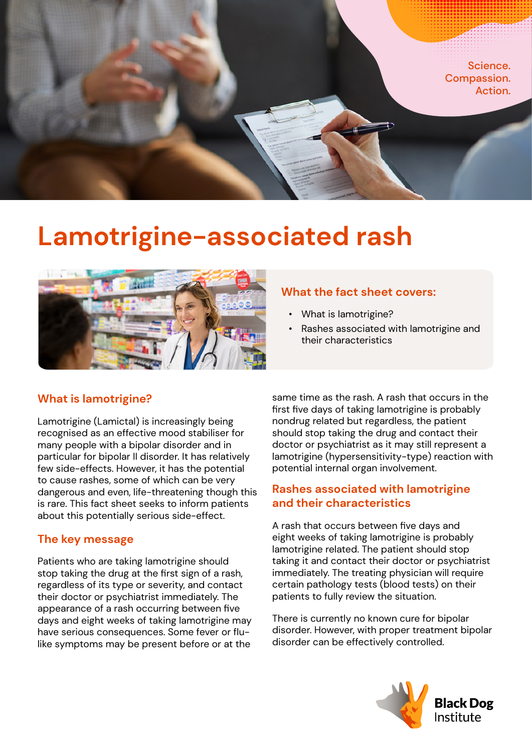

# **Lamotrigine-associated rash**



# **What the fact sheet covers:**

- What is lamotrigine?
- Rashes associated with lamotrigine and their characteristics

# **What is lamotrigine?**

Lamotrigine (Lamictal) is increasingly being recognised as an effective mood stabiliser for many people with a bipolar disorder and in particular for bipolar II disorder. It has relatively few side-effects. However, it has the potential to cause rashes, some of which can be very dangerous and even, life-threatening though this is rare. This fact sheet seeks to inform patients about this potentially serious side-effect.

### **The key message**

Patients who are taking lamotrigine should stop taking the drug at the first sign of a rash, regardless of its type or severity, and contact their doctor or psychiatrist immediately. The appearance of a rash occurring between five days and eight weeks of taking lamotrigine may have serious consequences. Some fever or flulike symptoms may be present before or at the

same time as the rash. A rash that occurs in the first five days of taking lamotrigine is probably nondrug related but regardless, the patient should stop taking the drug and contact their doctor or psychiatrist as it may still represent a lamotrigine (hypersensitivity-type) reaction with potential internal organ involvement.

## **Rashes associated with lamotrigine and their characteristics**

A rash that occurs between five days and eight weeks of taking lamotrigine is probably lamotrigine related. The patient should stop taking it and contact their doctor or psychiatrist immediately. The treating physician will require certain pathology tests (blood tests) on their patients to fully review the situation.

There is currently no known cure for bipolar disorder. However, with proper treatment bipolar disorder can be effectively controlled.

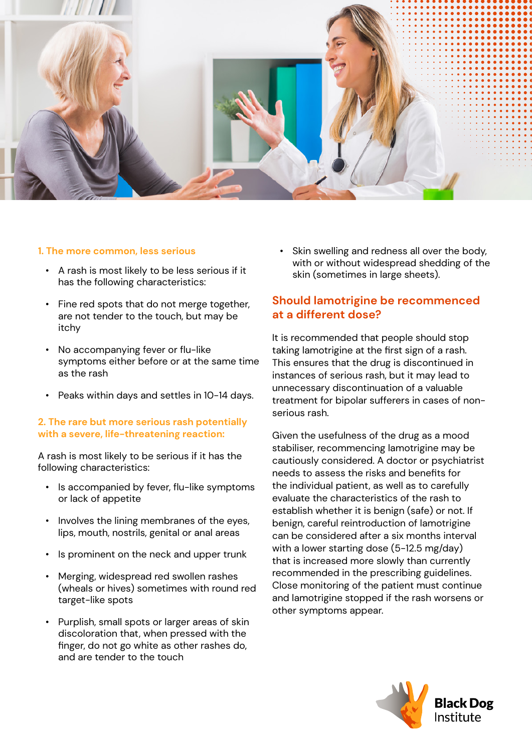

#### **1. The more common, less serious**

- A rash is most likely to be less serious if it has the following characteristics:
- Fine red spots that do not merge together, are not tender to the touch, but may be itchy
- No accompanying fever or flu-like symptoms either before or at the same time as the rash
- Peaks within days and settles in 10-14 days.

#### **2. The rare but more serious rash potentially with a severe, life-threatening reaction:**

A rash is most likely to be serious if it has the following characteristics:

- Is accompanied by fever, flu-like symptoms or lack of appetite
- Involves the lining membranes of the eyes, lips, mouth, nostrils, genital or anal areas
- Is prominent on the neck and upper trunk
- Merging, widespread red swollen rashes (wheals or hives) sometimes with round red target-like spots
- Purplish, small spots or larger areas of skin discoloration that, when pressed with the finger, do not go white as other rashes do, and are tender to the touch

• Skin swelling and redness all over the body, with or without widespread shedding of the skin (sometimes in large sheets).

## **Should lamotrigine be recommenced at a different dose?**

It is recommended that people should stop taking lamotrigine at the first sign of a rash. This ensures that the drug is discontinued in instances of serious rash, but it may lead to unnecessary discontinuation of a valuable treatment for bipolar sufferers in cases of nonserious rash.

Given the usefulness of the drug as a mood stabiliser, recommencing lamotrigine may be cautiously considered. A doctor or psychiatrist needs to assess the risks and benefits for the individual patient, as well as to carefully evaluate the characteristics of the rash to establish whether it is benign (safe) or not. If benign, careful reintroduction of lamotrigine can be considered after a six months interval with a lower starting dose (5-12.5 mg/day) that is increased more slowly than currently recommended in the prescribing guidelines. Close monitoring of the patient must continue and lamotrigine stopped if the rash worsens or other symptoms appear.